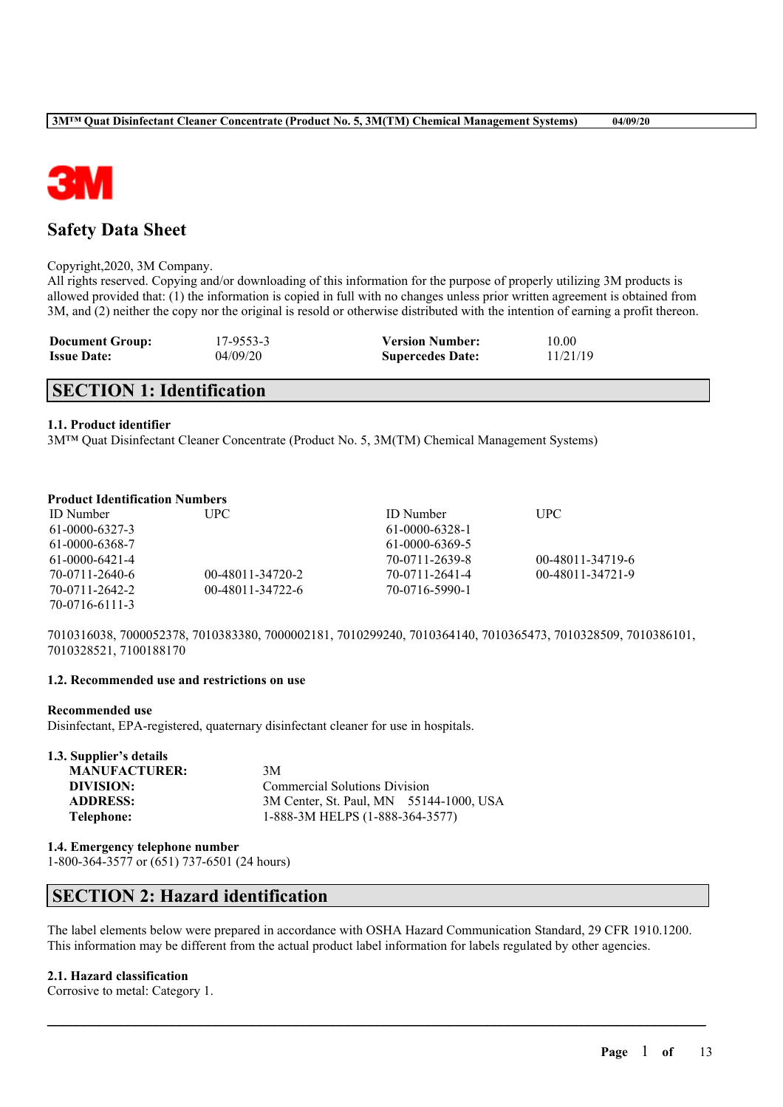

## **Safety Data Sheet**

#### Copyright,2020, 3M Company.

All rights reserved. Copying and/or downloading of this information for the purpose of properly utilizing 3M products is allowed provided that: (1) the information is copied in full with no changes unless prior written agreement is obtained from 3M, and (2) neither the copy nor the original is resold or otherwise distributed with the intention of earning a profit thereon.

| <b>Document Group:</b> | 17-9553-3 | <b>Version Number:</b>  | 10.00    |
|------------------------|-----------|-------------------------|----------|
| <b>Issue Date:</b>     | 04/09/20  | <b>Supercedes Date:</b> | 11/21/19 |

## **SECTION 1: Identification**

#### **1.1. Product identifier**

3M™ Quat Disinfectant Cleaner Concentrate (Product No. 5, 3M(TM) Chemical Management Systems)

#### **Product Identification Numbers**

| ID Number      | UPC-             | <b>ID</b> Number | <b>UPC</b>       |
|----------------|------------------|------------------|------------------|
| 61-0000-6327-3 |                  | 61-0000-6328-1   |                  |
| 61-0000-6368-7 |                  | 61-0000-6369-5   |                  |
| 61-0000-6421-4 |                  | 70-0711-2639-8   | 00-48011-34719-6 |
| 70-0711-2640-6 | 00-48011-34720-2 | 70-0711-2641-4   | 00-48011-34721-9 |
| 70-0711-2642-2 | 00-48011-34722-6 | 70-0716-5990-1   |                  |
| 70-0716-6111-3 |                  |                  |                  |

7010316038, 7000052378, 7010383380, 7000002181, 7010299240, 7010364140, 7010365473, 7010328509, 7010386101, 7010328521, 7100188170

#### **1.2. Recommended use and restrictions on use**

#### **Recommended use**

Disinfectant, EPA-registered, quaternary disinfectant cleaner for use in hospitals.

| 1.3. Supplier's details |                                         |  |
|-------------------------|-----------------------------------------|--|
| <b>MANUFACTURER:</b>    | 3M                                      |  |
| DIVISION:               | <b>Commercial Solutions Division</b>    |  |
| <b>ADDRESS:</b>         | 3M Center, St. Paul, MN 55144-1000, USA |  |
| Telephone:              | 1-888-3M HELPS (1-888-364-3577)         |  |

#### **1.4. Emergency telephone number**

1-800-364-3577 or (651) 737-6501 (24 hours)

## **SECTION 2: Hazard identification**

The label elements below were prepared in accordance with OSHA Hazard Communication Standard, 29 CFR 1910.1200. This information may be different from the actual product label information for labels regulated by other agencies.

 $\mathcal{L}_\mathcal{L} = \mathcal{L}_\mathcal{L} = \mathcal{L}_\mathcal{L} = \mathcal{L}_\mathcal{L} = \mathcal{L}_\mathcal{L} = \mathcal{L}_\mathcal{L} = \mathcal{L}_\mathcal{L} = \mathcal{L}_\mathcal{L} = \mathcal{L}_\mathcal{L} = \mathcal{L}_\mathcal{L} = \mathcal{L}_\mathcal{L} = \mathcal{L}_\mathcal{L} = \mathcal{L}_\mathcal{L} = \mathcal{L}_\mathcal{L} = \mathcal{L}_\mathcal{L} = \mathcal{L}_\mathcal{L} = \mathcal{L}_\mathcal{L}$ 

#### **2.1. Hazard classification**

Corrosive to metal: Category 1.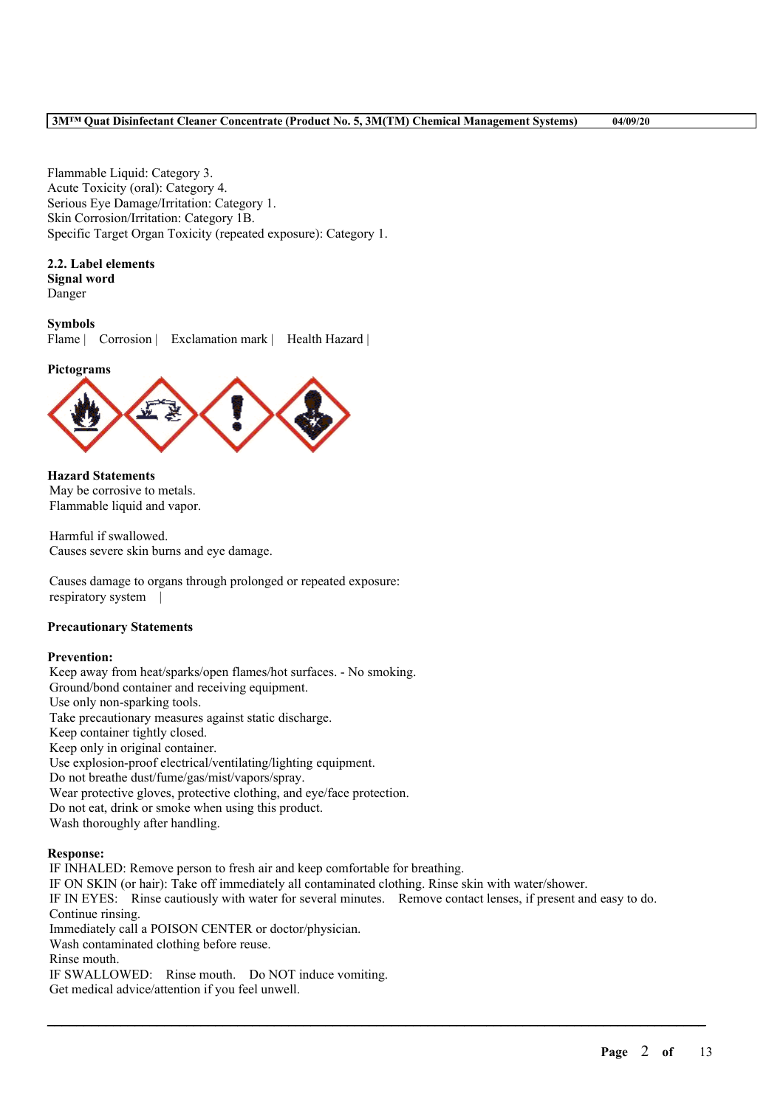Flammable Liquid: Category 3. Acute Toxicity (oral): Category 4. Serious Eye Damage/Irritation: Category 1. Skin Corrosion/Irritation: Category 1B. Specific Target Organ Toxicity (repeated exposure): Category 1.

## **2.2. Label elements**

**Signal word** Danger

#### **Symbols**

Flame | Corrosion | Exclamation mark | Health Hazard |

#### **Pictograms**



**Hazard Statements** May be corrosive to metals. Flammable liquid and vapor.

Harmful if swallowed. Causes severe skin burns and eye damage.

Causes damage to organs through prolonged or repeated exposure: respiratory system |

#### **Precautionary Statements**

#### **Prevention:**

Keep away from heat/sparks/open flames/hot surfaces. - No smoking. Ground/bond container and receiving equipment. Use only non-sparking tools. Take precautionary measures against static discharge. Keep container tightly closed. Keep only in original container. Use explosion-proof electrical/ventilating/lighting equipment. Do not breathe dust/fume/gas/mist/vapors/spray. Wear protective gloves, protective clothing, and eye/face protection. Do not eat, drink or smoke when using this product. Wash thoroughly after handling.

#### **Response:**

IF INHALED: Remove person to fresh air and keep comfortable for breathing. IF ON SKIN (or hair): Take off immediately all contaminated clothing. Rinse skin with water/shower. IF IN EYES: Rinse cautiously with water for several minutes. Remove contact lenses, if present and easy to do. Continue rinsing. Immediately call a POISON CENTER or doctor/physician. Wash contaminated clothing before reuse. Rinse mouth. IF SWALLOWED: Rinse mouth. Do NOT induce vomiting. Get medical advice/attention if you feel unwell.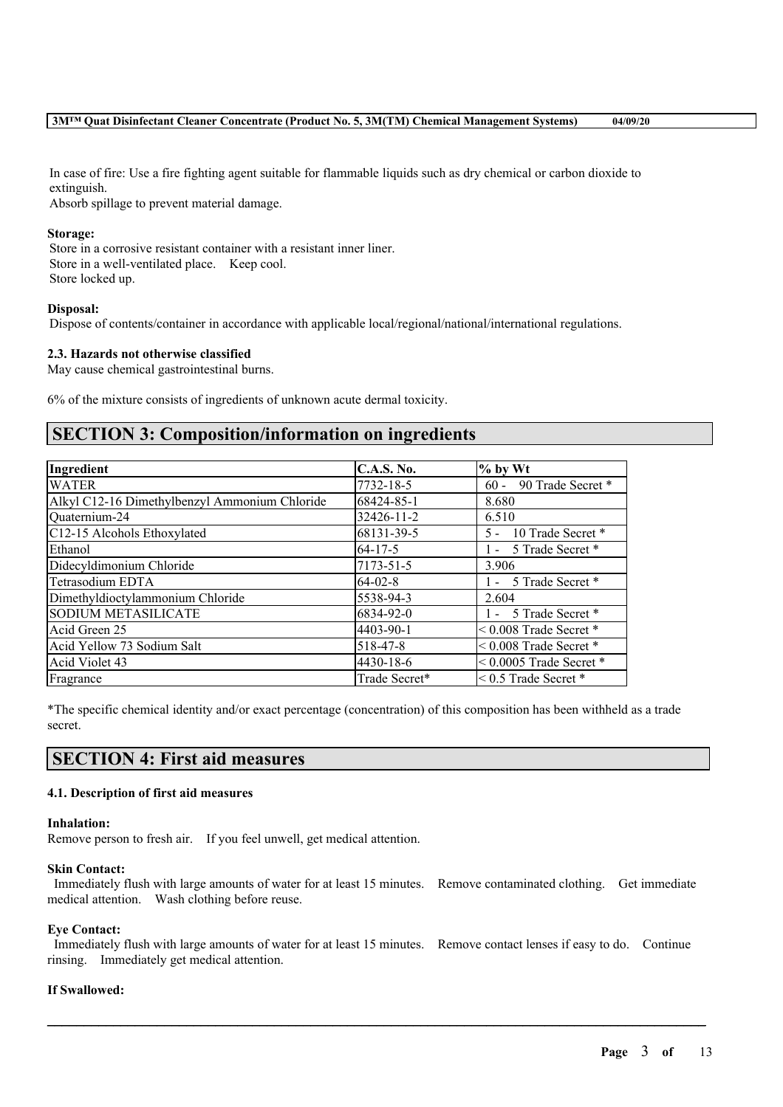In case of fire: Use a fire fighting agent suitable for flammable liquids such as dry chemical or carbon dioxide to extinguish.

Absorb spillage to prevent material damage.

#### **Storage:**

Store in a corrosive resistant container with a resistant inner liner. Store in a well-ventilated place. Keep cool. Store locked up.

#### **Disposal:**

Dispose of contents/container in accordance with applicable local/regional/national/international regulations.

#### **2.3. Hazards not otherwise classified**

May cause chemical gastrointestinal burns.

6% of the mixture consists of ingredients of unknown acute dermal toxicity.

## **SECTION 3: Composition/information on ingredients**

| Ingredient                                    | <b>C.A.S. No.</b> | $%$ by Wt                   |
|-----------------------------------------------|-------------------|-----------------------------|
| <b>WATER</b>                                  | 7732-18-5         | 90 Trade Secret *<br>$60 -$ |
| Alkyl C12-16 Dimethylbenzyl Ammonium Chloride | 68424-85-1        | 8.680                       |
| Quaternium-24                                 | 32426-11-2        | 6.510                       |
| C12-15 Alcohols Ethoxylated                   | 68131-39-5        | 5 - 10 Trade Secret *       |
| Ethanol                                       | $64 - 17 - 5$     | 1 - 5 Trade Secret *        |
| Didecyldimonium Chloride                      | 7173-51-5         | 3.906                       |
| Tetrasodium EDTA                              | $64-02-8$         | - 5 Trade Secret *          |
| Dimethyldioctylammonium Chloride              | 5538-94-3         | 2.604                       |
| <b>SODIUM METASILICATE</b>                    | 6834-92-0         | 1 - 5 Trade Secret *        |
| Acid Green 25                                 | 4403-90-1         | $< 0.008$ Trade Secret $*$  |
| Acid Yellow 73 Sodium Salt                    | 518-47-8          | $< 0.008$ Trade Secret $*$  |
| Acid Violet 43                                | 4430-18-6         | $< 0.0005$ Trade Secret *   |
| Fragrance                                     | Trade Secret*     | $\leq$ 0.5 Trade Secret $*$ |

\*The specific chemical identity and/or exact percentage (concentration) of this composition has been withheld as a trade secret.

## **SECTION 4: First aid measures**

#### **4.1. Description of first aid measures**

#### **Inhalation:**

Remove person to fresh air. If you feel unwell, get medical attention.

#### **Skin Contact:**

Immediately flush with large amounts of water for at least 15 minutes. Remove contaminated clothing. Get immediate medical attention. Wash clothing before reuse.

#### **Eye Contact:**

Immediately flush with large amounts of water for at least 15 minutes. Remove contact lenses if easy to do. Continue rinsing. Immediately get medical attention.

 $\mathcal{L}_\mathcal{L} = \mathcal{L}_\mathcal{L} = \mathcal{L}_\mathcal{L} = \mathcal{L}_\mathcal{L} = \mathcal{L}_\mathcal{L} = \mathcal{L}_\mathcal{L} = \mathcal{L}_\mathcal{L} = \mathcal{L}_\mathcal{L} = \mathcal{L}_\mathcal{L} = \mathcal{L}_\mathcal{L} = \mathcal{L}_\mathcal{L} = \mathcal{L}_\mathcal{L} = \mathcal{L}_\mathcal{L} = \mathcal{L}_\mathcal{L} = \mathcal{L}_\mathcal{L} = \mathcal{L}_\mathcal{L} = \mathcal{L}_\mathcal{L}$ 

#### **If Swallowed:**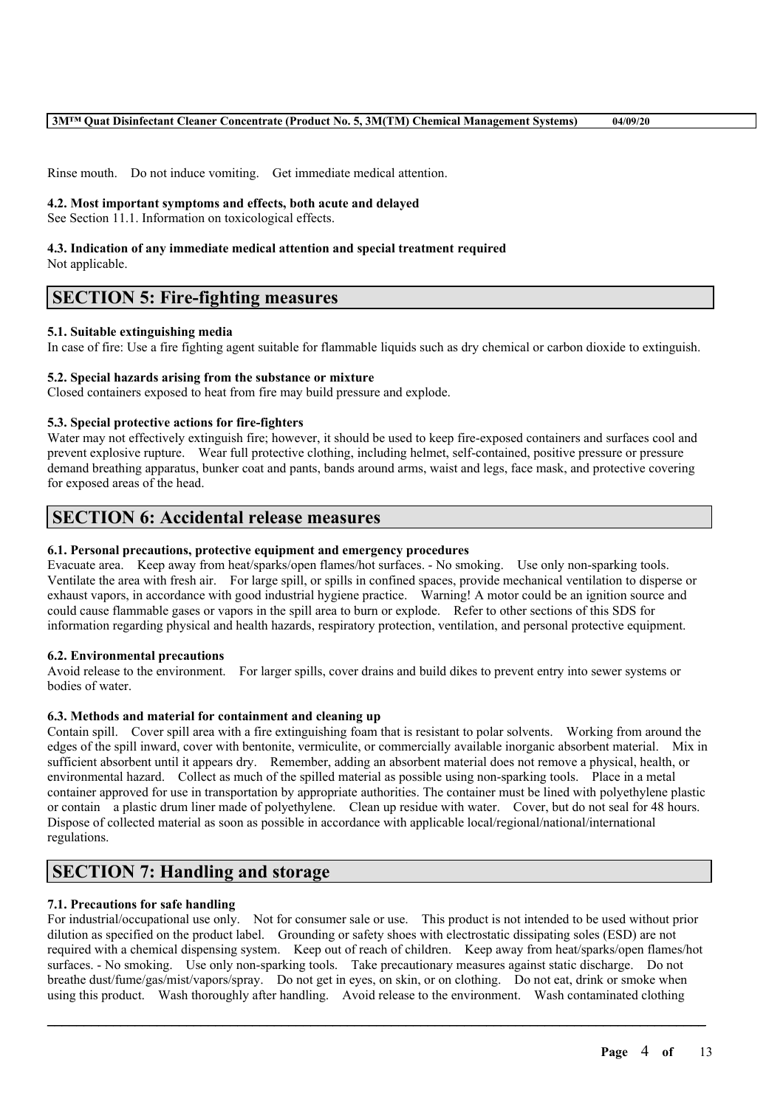Rinse mouth. Do not induce vomiting. Get immediate medical attention.

#### **4.2. Most important symptoms and effects, both acute and delayed**

See Section 11.1. Information on toxicological effects.

# **4.3. Indication of any immediate medical attention and special treatment required**

Not applicable.

## **SECTION 5: Fire-fighting measures**

#### **5.1. Suitable extinguishing media**

In case of fire: Use a fire fighting agent suitable for flammable liquids such as dry chemical or carbon dioxide to extinguish.

#### **5.2. Special hazards arising from the substance or mixture**

Closed containers exposed to heat from fire may build pressure and explode.

#### **5.3. Special protective actions for fire-fighters**

Water may not effectively extinguish fire; however, it should be used to keep fire-exposed containers and surfaces cool and prevent explosive rupture. Wear full protective clothing, including helmet, self-contained, positive pressure or pressure demand breathing apparatus, bunker coat and pants, bands around arms, waist and legs, face mask, and protective covering for exposed areas of the head.

## **SECTION 6: Accidental release measures**

#### **6.1. Personal precautions, protective equipment and emergency procedures**

Evacuate area. Keep away from heat/sparks/open flames/hot surfaces. - No smoking. Use only non-sparking tools. Ventilate the area with fresh air. For large spill, or spills in confined spaces, provide mechanical ventilation to disperse or exhaust vapors, in accordance with good industrial hygiene practice. Warning! A motor could be an ignition source and could cause flammable gases or vapors in the spill area to burn or explode. Refer to other sections of this SDS for information regarding physical and health hazards, respiratory protection, ventilation, and personal protective equipment.

#### **6.2. Environmental precautions**

Avoid release to the environment. For larger spills, cover drains and build dikes to prevent entry into sewer systems or bodies of water.

#### **6.3. Methods and material for containment and cleaning up**

Contain spill. Cover spill area with a fire extinguishing foam that is resistant to polar solvents. Working from around the edges of the spill inward, cover with bentonite, vermiculite, or commercially available inorganic absorbent material. Mix in sufficient absorbent until it appears dry. Remember, adding an absorbent material does not remove a physical, health, or environmental hazard. Collect as much of the spilled material as possible using non-sparking tools. Place in a metal container approved for use in transportation by appropriate authorities. The container must be lined with polyethylene plastic or contain a plastic drum liner made of polyethylene. Clean up residue with water. Cover, but do not seal for 48 hours. Dispose of collected material as soon as possible in accordance with applicable local/regional/national/international regulations.

## **SECTION 7: Handling and storage**

#### **7.1. Precautions for safe handling**

For industrial/occupational use only. Not for consumer sale or use. This product is not intended to be used without prior dilution as specified on the product label. Grounding or safety shoes with electrostatic dissipating soles (ESD) are not required with a chemical dispensing system. Keep out of reach of children. Keep away from heat/sparks/open flames/hot surfaces. - No smoking. Use only non-sparking tools. Take precautionary measures against static discharge. Do not breathe dust/fume/gas/mist/vapors/spray. Do not get in eyes, on skin, or on clothing. Do not eat, drink or smoke when using this product. Wash thoroughly after handling. Avoid release to the environment. Wash contaminated clothing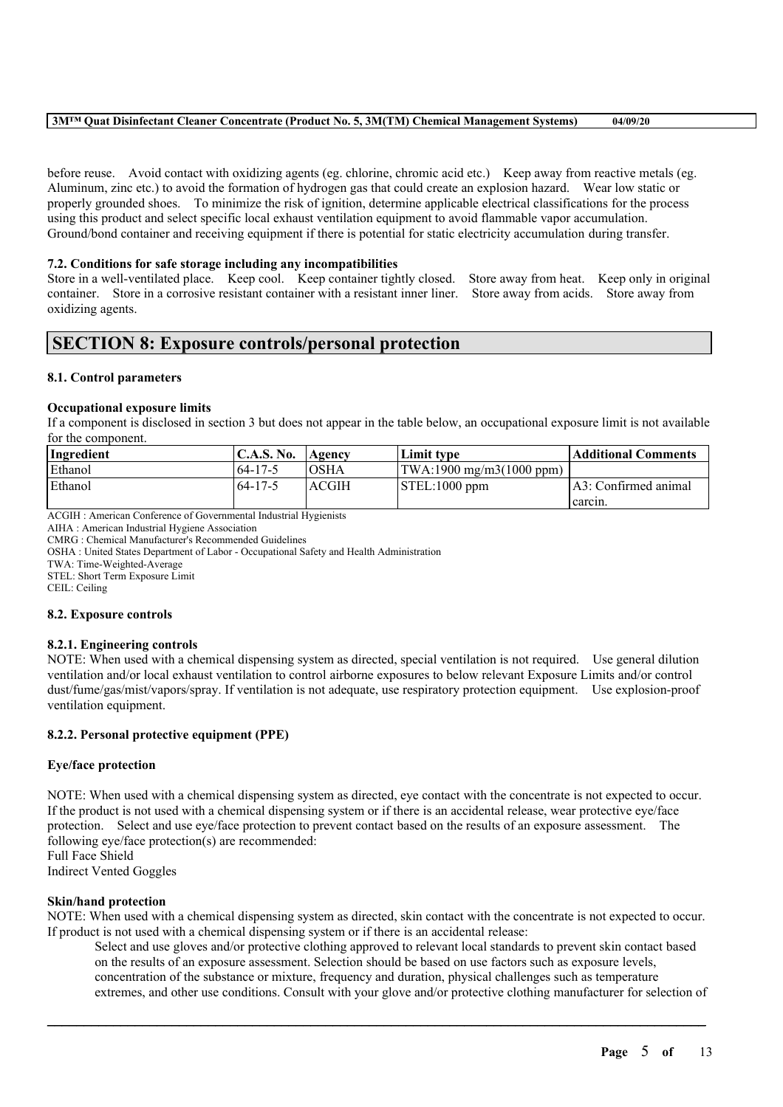#### **3M™ Quat Disinfectant Cleaner Concentrate (Product No. 5, 3M(TM) Chemical Management Systems) 04/09/20**

before reuse. Avoid contact with oxidizing agents (eg. chlorine, chromic acid etc.) Keep away from reactive metals (eg. Aluminum, zinc etc.) to avoid the formation of hydrogen gas that could create an explosion hazard. Wear low static or properly grounded shoes. To minimize the risk of ignition, determine applicable electrical classifications for the process using this product and select specific local exhaust ventilation equipment to avoid flammable vapor accumulation. Ground/bond container and receiving equipment if there is potential for static electricity accumulation during transfer.

#### **7.2. Conditions for safe storage including any incompatibilities**

Store in a well-ventilated place. Keep cool. Keep container tightly closed. Store away from heat. Keep only in original container. Store in a corrosive resistant container with a resistant inner liner. Store away from acids. Store away from oxidizing agents.

## **SECTION 8: Exposure controls/personal protection**

#### **8.1. Control parameters**

#### **Occupational exposure limits**

If a component is disclosed in section 3 but does not appear in the table below, an occupational exposure limit is not available for the component.

| Ingredient | C.A.S. No. | Agency       | Limit tvpe                                   | Additional Comments  |
|------------|------------|--------------|----------------------------------------------|----------------------|
| Ethanol    | 64-17-5    | <b>OSHA</b>  | $ TWA:1900 \text{ mg/m}3(1000 \text{ ppm}) $ |                      |
| Ethanol    | 64-17-5    | <b>ACGIH</b> | $\vert$ STEL:1000 ppm                        | A3: Confirmed animal |
|            |            |              |                                              | carcin.              |

ACGIH : American Conference of Governmental Industrial Hygienists

AIHA : American Industrial Hygiene Association

CMRG : Chemical Manufacturer's Recommended Guidelines

OSHA : United States Department of Labor - Occupational Safety and Health Administration

TWA: Time-Weighted-Average

STEL: Short Term Exposure Limit

CEIL: Ceiling

#### **8.2. Exposure controls**

#### **8.2.1. Engineering controls**

NOTE: When used with a chemical dispensing system as directed, special ventilation is not required. Use general dilution ventilation and/or local exhaust ventilation to control airborne exposures to below relevant Exposure Limits and/or control dust/fume/gas/mist/vapors/spray. If ventilation is not adequate, use respiratory protection equipment. Use explosion-proof ventilation equipment.

#### **8.2.2. Personal protective equipment (PPE)**

#### **Eye/face protection**

NOTE: When used with a chemical dispensing system as directed, eye contact with the concentrate is not expected to occur. If the product is not used with a chemical dispensing system or if there is an accidental release, wear protective eye/face protection. Select and use eye/face protection to prevent contact based on the results of an exposure assessment. The following eye/face protection(s) are recommended:

Full Face Shield Indirect Vented Goggles

#### **Skin/hand protection**

NOTE: When used with a chemical dispensing system as directed, skin contact with the concentrate is not expected to occur. If product is not used with a chemical dispensing system or if there is an accidental release:

 $\mathcal{L}_\mathcal{L} = \mathcal{L}_\mathcal{L} = \mathcal{L}_\mathcal{L} = \mathcal{L}_\mathcal{L} = \mathcal{L}_\mathcal{L} = \mathcal{L}_\mathcal{L} = \mathcal{L}_\mathcal{L} = \mathcal{L}_\mathcal{L} = \mathcal{L}_\mathcal{L} = \mathcal{L}_\mathcal{L} = \mathcal{L}_\mathcal{L} = \mathcal{L}_\mathcal{L} = \mathcal{L}_\mathcal{L} = \mathcal{L}_\mathcal{L} = \mathcal{L}_\mathcal{L} = \mathcal{L}_\mathcal{L} = \mathcal{L}_\mathcal{L}$ 

Select and use gloves and/or protective clothing approved to relevant local standards to prevent skin contact based on the results of an exposure assessment. Selection should be based on use factors such as exposure levels, concentration of the substance or mixture, frequency and duration, physical challenges such as temperature extremes, and other use conditions. Consult with your glove and/or protective clothing manufacturer for selection of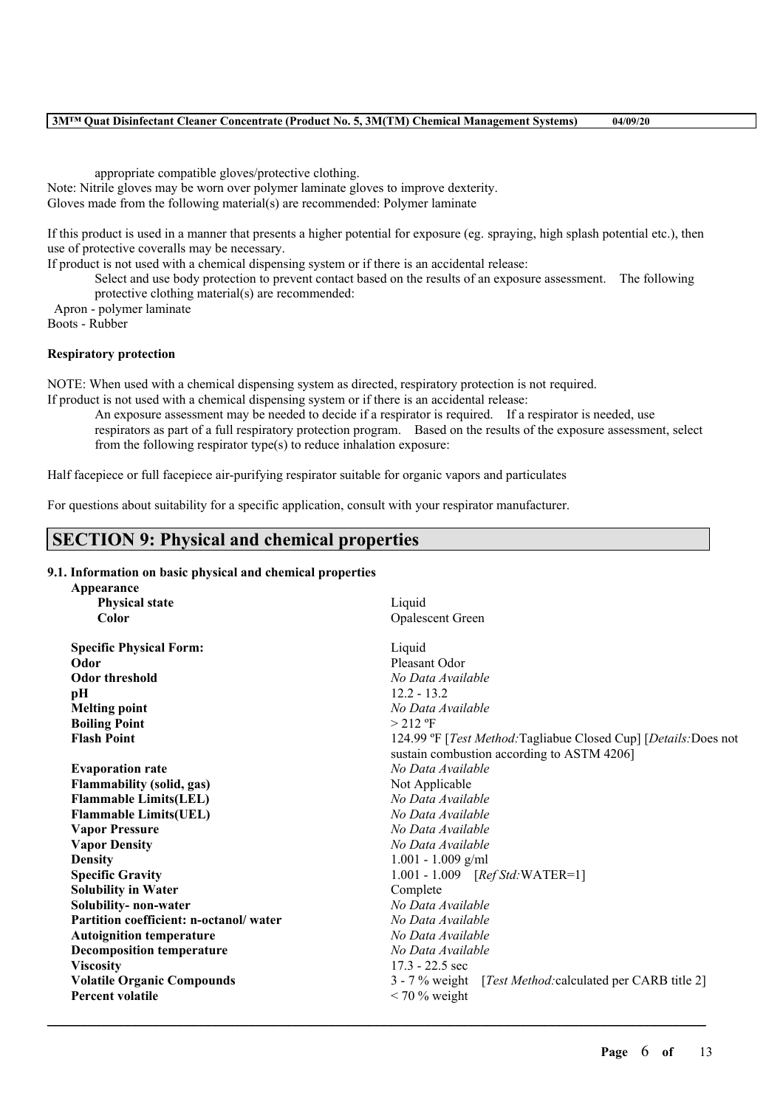#### **3M™ Quat Disinfectant Cleaner Concentrate (Product No. 5, 3M(TM) Chemical Management Systems) 04/09/20**

appropriate compatible gloves/protective clothing.

Note: Nitrile gloves may be worn over polymer laminate gloves to improve dexterity. Gloves made from the following material(s) are recommended: Polymer laminate

If this product is used in a manner that presents a higher potential for exposure (eg. spraying, high splash potential etc.), then use of protective coveralls may be necessary.

If product is not used with a chemical dispensing system or if there is an accidental release:

Select and use body protection to prevent contact based on the results of an exposure assessment. The following protective clothing material(s) are recommended:

Apron - polymer laminate

Boots - Rubber

#### **Respiratory protection**

NOTE: When used with a chemical dispensing system as directed, respiratory protection is not required.

If product is not used with a chemical dispensing system or if there is an accidental release:

An exposure assessment may be needed to decide if a respirator is required. If a respirator is needed, use respirators as part of a full respiratory protection program. Based on the results of the exposure assessment, select from the following respirator type(s) to reduce inhalation exposure:

Half facepiece or full facepiece air-purifying respirator suitable for organic vapors and particulates

For questions about suitability for a specific application, consult with your respirator manufacturer.

## **SECTION 9: Physical and chemical properties**

#### **9.1. Information on basic physical and chemical properties**

| Appearance                             |                                                                                  |  |  |
|----------------------------------------|----------------------------------------------------------------------------------|--|--|
| <b>Physical state</b>                  | Liquid                                                                           |  |  |
| Color                                  | <b>Opalescent Green</b>                                                          |  |  |
| <b>Specific Physical Form:</b>         | Liquid                                                                           |  |  |
| Odor                                   | Pleasant Odor                                                                    |  |  |
| <b>Odor threshold</b>                  | No Data Available                                                                |  |  |
| pН                                     | $12.2 - 13.2$                                                                    |  |  |
| <b>Melting point</b>                   | No Data Available                                                                |  |  |
| <b>Boiling Point</b>                   | $>$ 212 °F                                                                       |  |  |
| <b>Flash Point</b>                     | 124.99 °F [ <i>Test Method:</i> Tagliabue Closed Cup] [ <i>Details:</i> Does not |  |  |
|                                        | sustain combustion according to ASTM 4206]                                       |  |  |
| <b>Evaporation rate</b>                | No Data Available                                                                |  |  |
| <b>Flammability (solid, gas)</b>       | Not Applicable                                                                   |  |  |
| <b>Flammable Limits(LEL)</b>           | No Data Available                                                                |  |  |
| <b>Flammable Limits(UEL)</b>           | No Data Available                                                                |  |  |
| <b>Vapor Pressure</b>                  | No Data Available                                                                |  |  |
| <b>Vapor Density</b>                   | No Data Available                                                                |  |  |
| <b>Density</b>                         | $1.001 - 1.009$ g/ml                                                             |  |  |
| <b>Specific Gravity</b>                | 1.001 - 1.009 [Ref Std: WATER=1]                                                 |  |  |
| <b>Solubility in Water</b>             | Complete                                                                         |  |  |
| Solubility-non-water                   | No Data Available                                                                |  |  |
| Partition coefficient: n-octanol/water | No Data Available                                                                |  |  |
| <b>Autoignition temperature</b>        | No Data Available                                                                |  |  |
| <b>Decomposition temperature</b>       | No Data Available                                                                |  |  |
| <b>Viscosity</b>                       | $17.3 - 22.5$ sec                                                                |  |  |
| <b>Volatile Organic Compounds</b>      | 3 - 7 % weight [ <i>Test Method:calculated per CARB title 2</i> ]                |  |  |
| <b>Percent volatile</b>                | $<$ 70 % weight                                                                  |  |  |
|                                        |                                                                                  |  |  |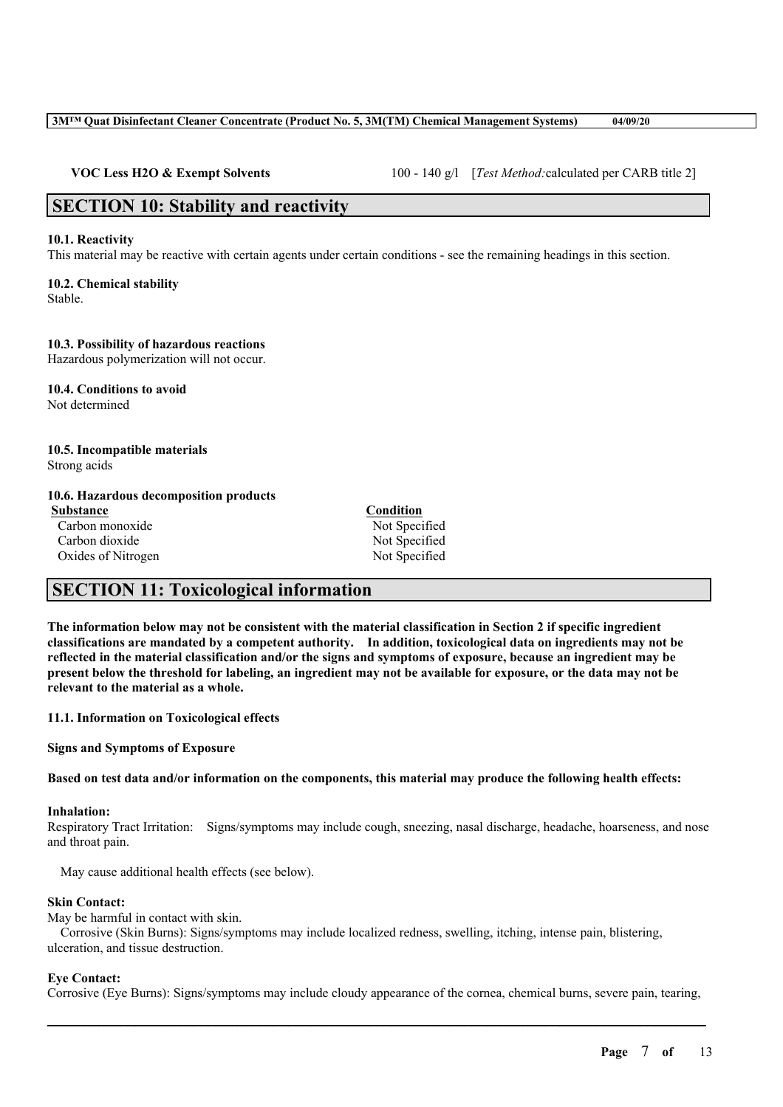#### **3M™ Quat Disinfectant Cleaner Concentrate (Product No. 5, 3M(TM) Chemical Management Systems) 04/09/20**

**VOC Less H2O & Exempt Solvents** 100 - 140 g/l [*Test Method:*calculated per CARB title 2]

## **SECTION 10: Stability and reactivity**

#### **10.1. Reactivity**

This material may be reactive with certain agents under certain conditions - see the remaining headings in this section.

## **10.2. Chemical stability**

Stable.

#### **10.3. Possibility of hazardous reactions**

Hazardous polymerization will not occur.

**10.4. Conditions to avoid** Not determined

#### **10.5. Incompatible materials** Strong acids

#### **10.6. Hazardous decomposition products**

**Substance Condition** Carbon monoxide Not Specified Carbon dioxide Not Specified Oxides of Nitrogen Not Specified

## **SECTION 11: Toxicological information**

The information below may not be consistent with the material classification in Section 2 if specific ingredient **classifications are mandated by a competent authority. In addition, toxicological data on ingredients may not be** reflected in the material classification and/or the signs and symptoms of exposure, because an ingredient may be present below the threshold for labeling, an ingredient may not be available for exposure, or the data may not be **relevant to the material as a whole.**

#### **11.1. Information on Toxicological effects**

**Signs and Symptoms of Exposure**

Based on test data and/or information on the components, this material may produce the following health effects:

#### **Inhalation:**

Respiratory Tract Irritation: Signs/symptoms may include cough, sneezing, nasal discharge, headache, hoarseness, and nose and throat pain.

May cause additional health effects (see below).

#### **Skin Contact:**

May be harmful in contact with skin.

Corrosive (Skin Burns): Signs/symptoms may include localized redness, swelling, itching, intense pain, blistering, ulceration, and tissue destruction.

#### **Eye Contact:**

Corrosive (Eye Burns): Signs/symptoms may include cloudy appearance of the cornea, chemical burns, severe pain, tearing,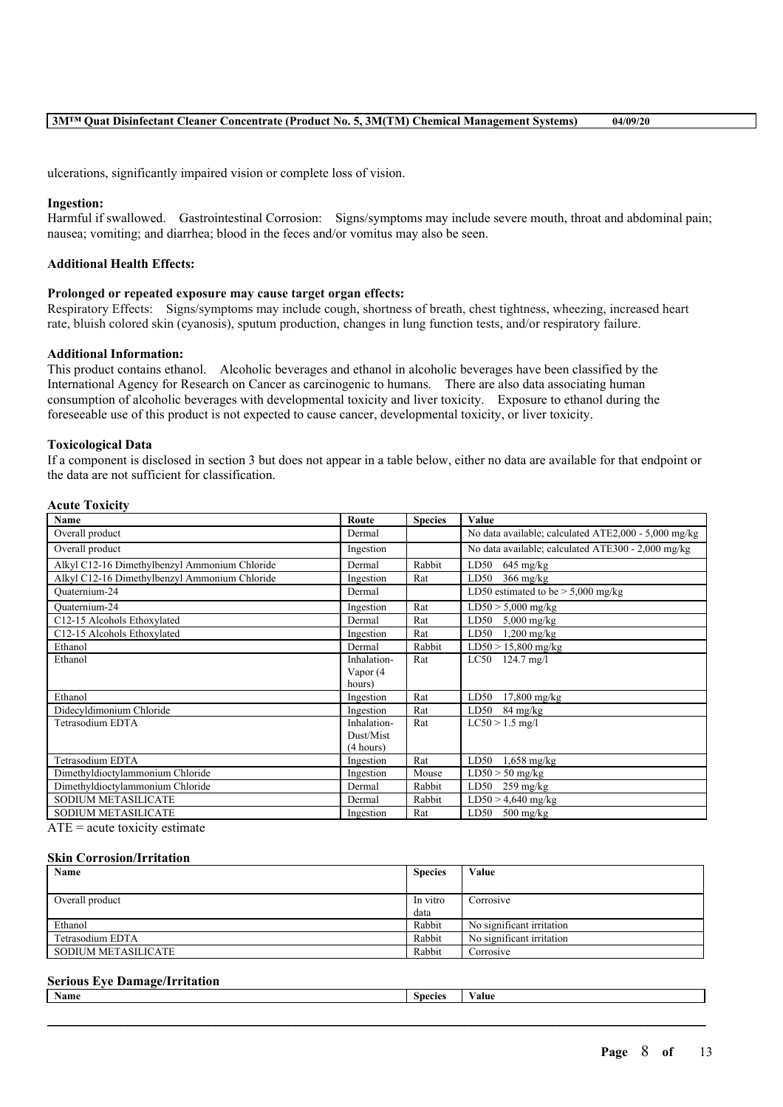ulcerations, significantly impaired vision or complete loss of vision.

#### **Ingestion:**

Harmful if swallowed. Gastrointestinal Corrosion: Signs/symptoms may include severe mouth, throat and abdominal pain; nausea; vomiting; and diarrhea; blood in the feces and/or vomitus may also be seen.

#### **Additional Health Effects:**

#### **Prolonged or repeated exposure may cause target organ effects:**

Respiratory Effects: Signs/symptoms may include cough, shortness of breath, chest tightness, wheezing, increased heart rate, bluish colored skin (cyanosis), sputum production, changes in lung function tests, and/or respiratory failure.

#### **Additional Information:**

This product contains ethanol. Alcoholic beverages and ethanol in alcoholic beverages have been classified by the International Agency for Research on Cancer as carcinogenic to humans. There are also data associating human consumption of alcoholic beverages with developmental toxicity and liver toxicity. Exposure to ethanol during the foreseeable use of this product is not expected to cause cancer, developmental toxicity, or liver toxicity.

#### **Toxicological Data**

**Acute Toxicity**

If a component is disclosed in section 3 but does not appear in a table below, either no data are available for that endpoint or the data are not sufficient for classification.

| <b>Name</b>                                   | Route       | <b>Species</b> | Value                                                |
|-----------------------------------------------|-------------|----------------|------------------------------------------------------|
| Overall product                               | Dermal      |                | No data available; calculated ATE2,000 - 5,000 mg/kg |
| Overall product                               | Ingestion   |                | No data available; calculated ATE300 - 2,000 mg/kg   |
| Alkyl C12-16 Dimethylbenzyl Ammonium Chloride | Dermal      | Rabbit         | LD50<br>$645 \text{ mg/kg}$                          |
| Alkyl C12-16 Dimethylbenzyl Ammonium Chloride | Ingestion   | Rat            | LD50<br>$366$ mg/kg                                  |
| Ouaternium-24                                 | Dermal      |                | LD50 estimated to be $>$ 5,000 mg/kg                 |
| Ouaternium-24                                 | Ingestion   | Rat            | $LD50 > 5,000$ mg/kg                                 |
| C12-15 Alcohols Ethoxylated                   | Dermal      | Rat            | LD50<br>$5,000$ mg/kg                                |
| C12-15 Alcohols Ethoxylated                   | Ingestion   | Rat            | $1,200$ mg/kg<br>LD50                                |
| Ethanol                                       | Dermal      | Rabbit         | $LD50 > 15,800$ mg/kg                                |
| Ethanol                                       | Inhalation- | Rat            | LC50<br>$124.7 \text{ mg}/l$                         |
|                                               | Vapor (4    |                |                                                      |
|                                               | hours)      |                |                                                      |
| Ethanol                                       | Ingestion   | Rat            | LD50<br>$17,800$ mg/kg                               |
| Didecyldimonium Chloride                      | Ingestion   | Rat            | LD50<br>84 mg/kg                                     |
| Tetrasodium EDTA                              | Inhalation- | Rat            | $LC50 > 1.5$ mg/l                                    |
|                                               | Dust/Mist   |                |                                                      |
|                                               | (4 hours)   |                |                                                      |
| Tetrasodium EDTA                              | Ingestion   | Rat            | LD50<br>$1,658$ mg/kg                                |
| Dimethyldioctylammonium Chloride              | Ingestion   | Mouse          | $LD50 > 50$ mg/kg                                    |
| Dimethyldioctylammonium Chloride              | Dermal      | Rabbit         | LD50<br>$259 \text{ mg/kg}$                          |
| <b>SODIUM METASILICATE</b>                    | Dermal      | Rabbit         | $LD50 > 4,640$ mg/kg                                 |
| <b>SODIUM METASILICATE</b>                    | Ingestion   | Rat            | LD50<br>$500 \frac{\text{mg}}{\text{kg}}$            |

 $ATE = acute$  toxicity estimate

#### **Skin Corrosion/Irritation**

| Name                | <b>Species</b> | Value                     |
|---------------------|----------------|---------------------------|
| Overall product     | In vitro       | Corrosive                 |
|                     | data           |                           |
| Ethanol             | Rabbit         | No significant irritation |
| Tetrasodium EDTA    | Rabbit         | No significant irritation |
| SODIUM METASILICATE | Rabbit         | Corrosive                 |

#### **Serious Eye Damage/Irritation**

| <b>BY</b><br>Name | $\sim$<br><b>Species</b> | $- - -$<br>alu |
|-------------------|--------------------------|----------------|
|                   |                          |                |
|                   |                          |                |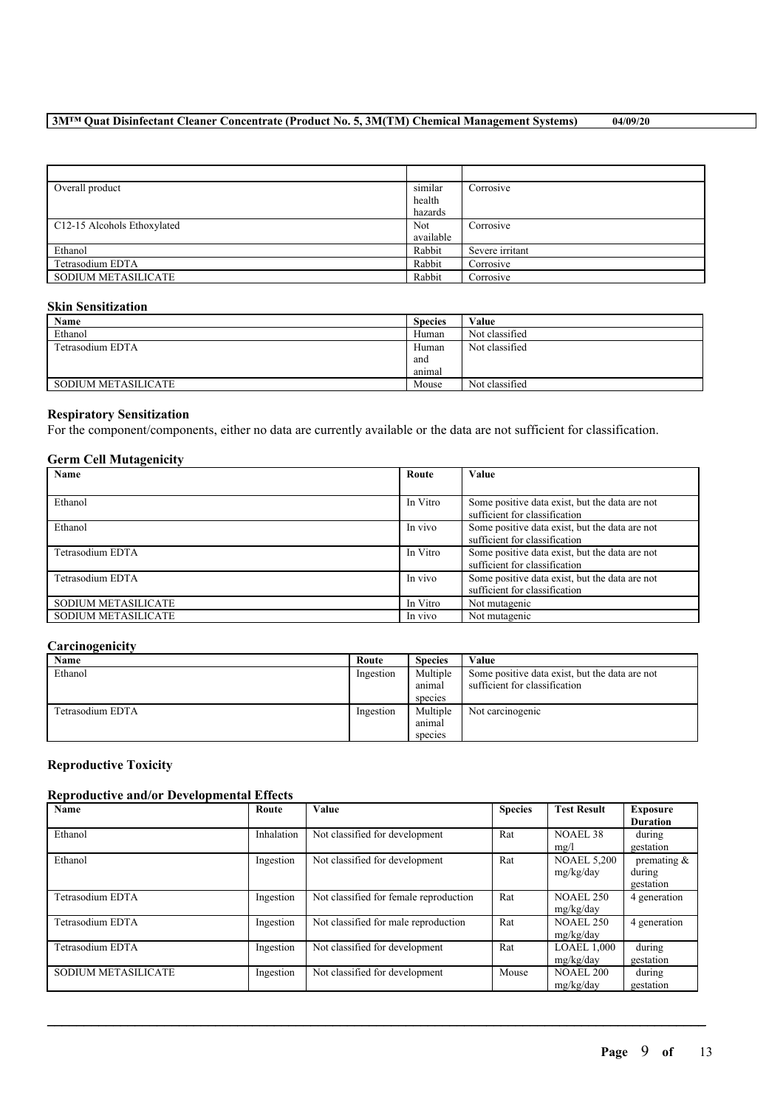| Overall product             | similar   | Corrosive       |
|-----------------------------|-----------|-----------------|
|                             | health    |                 |
|                             | hazards   |                 |
| C12-15 Alcohols Ethoxylated | Not       | Corrosive       |
|                             | available |                 |
| Ethanol                     | Rabbit    | Severe irritant |
| Tetrasodium EDTA            | Rabbit    | Corrosive       |
| <b>SODIUM METASILICATE</b>  | Rabbit    | Corrosive       |

#### **Skin Sensitization**

| Name                | <b>Species</b> | Value          |
|---------------------|----------------|----------------|
| Ethanol             | Human          | Not classified |
| Tetrasodium EDTA    | Human          | Not classified |
|                     | and            |                |
|                     | anımal         |                |
| SODIUM METASILICATE | Mouse          | Not classified |

#### **Respiratory Sensitization**

For the component/components, either no data are currently available or the data are not sufficient for classification.

#### **Germ Cell Mutagenicity**

| Name                       | Route    | Value                                                                           |
|----------------------------|----------|---------------------------------------------------------------------------------|
|                            |          |                                                                                 |
| Ethanol                    | In Vitro | Some positive data exist, but the data are not<br>sufficient for classification |
| Ethanol                    | In vivo  | Some positive data exist, but the data are not<br>sufficient for classification |
| Tetrasodium EDTA           | In Vitro | Some positive data exist, but the data are not<br>sufficient for classification |
| Tetrasodium EDTA           | In vivo  | Some positive data exist, but the data are not<br>sufficient for classification |
| <b>SODIUM METASILICATE</b> | In Vitro | Not mutagenic                                                                   |
| <b>SODIUM METASILICATE</b> | In vivo  | Not mutagenic                                                                   |

#### **Carcinogenicity**

| Name             | Route     | <b>Species</b> | Value                                          |
|------------------|-----------|----------------|------------------------------------------------|
| Ethanol          | Ingestion | Multiple       | Some positive data exist, but the data are not |
|                  |           | animal         | sufficient for classification                  |
|                  |           | species        |                                                |
| Tetrasodium EDTA | Ingestion | Multiple       | Not carcinogenic                               |
|                  |           | animal         |                                                |
|                  |           | species        |                                                |

#### **Reproductive Toxicity**

#### **Reproductive and/or Developmental Effects**

| Name                | Route      | Value                                  | <b>Species</b> | <b>Test Result</b>              | <b>Exposure</b><br><b>Duration</b>    |
|---------------------|------------|----------------------------------------|----------------|---------------------------------|---------------------------------------|
| Ethanol             | Inhalation | Not classified for development         | Rat            | NOAEL 38<br>mg/l                | during<br>gestation                   |
| Ethanol             | Ingestion  | Not classified for development         | Rat            | <b>NOAEL 5,200</b><br>mg/kg/day | premating $\&$<br>during<br>gestation |
| Tetrasodium EDTA    | Ingestion  | Not classified for female reproduction | Rat            | <b>NOAEL 250</b><br>mg/kg/day   | 4 generation                          |
| Tetrasodium EDTA    | Ingestion  | Not classified for male reproduction   | Rat            | <b>NOAEL 250</b><br>mg/kg/day   | 4 generation                          |
| Tetrasodium EDTA    | Ingestion  | Not classified for development         | Rat            | <b>LOAEL 1,000</b><br>mg/kg/day | during<br>gestation                   |
| SODIUM METASILICATE | Ingestion  | Not classified for development         | Mouse          | <b>NOAEL 200</b><br>mg/kg/day   | during<br>gestation                   |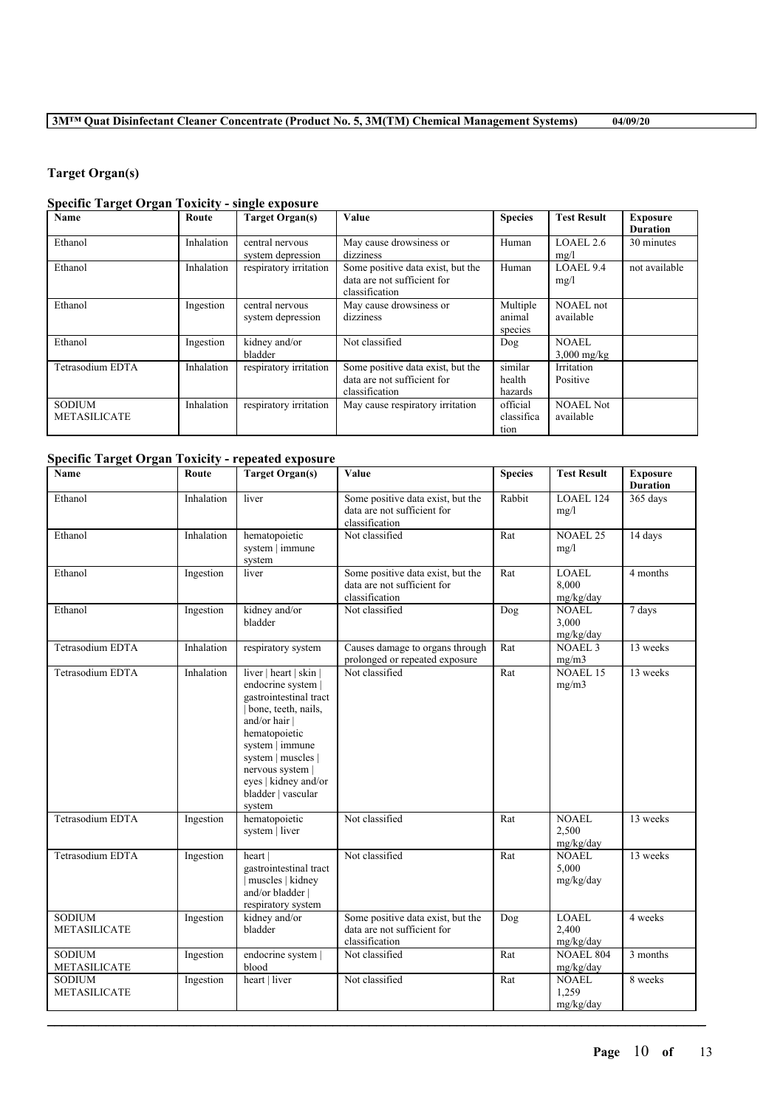## **Target Organ(s)**

## **Specific Target Organ Toxicity - single exposure**

| <b>Name</b>                          | Route      | <b>Target Organ(s)</b>               | Value                                                                              | <b>Species</b>                 | <b>Test Result</b>            | <b>Exposure</b><br><b>Duration</b> |
|--------------------------------------|------------|--------------------------------------|------------------------------------------------------------------------------------|--------------------------------|-------------------------------|------------------------------------|
| Ethanol                              | Inhalation | central nervous<br>system depression | May cause drowsiness or<br>dizziness                                               | Human                          | LOAEL 2.6<br>mg/l             | 30 minutes                         |
| Ethanol                              | Inhalation | respiratory irritation               | Some positive data exist, but the<br>data are not sufficient for<br>classification | Human                          | LOAEL 9.4<br>mg/l             | not available                      |
| Ethanol                              | Ingestion  | central nervous<br>system depression | May cause drowsiness or<br>dizziness                                               | Multiple<br>animal<br>species  | <b>NOAEL</b> not<br>available |                                    |
| Ethanol                              | Ingestion  | kidney and/or<br>bladder             | Not classified                                                                     | Dog                            | NOAEL<br>$3,000$ mg/kg        |                                    |
| Tetrasodium EDTA                     | Inhalation | respiratory irritation               | Some positive data exist, but the<br>data are not sufficient for<br>classification | similar<br>health<br>hazards   | Irritation<br>Positive        |                                    |
| <b>SODIUM</b><br><b>METASILICATE</b> | Inhalation | respiratory irritation               | May cause respiratory irritation                                                   | official<br>classifica<br>tion | <b>NOAEL Not</b><br>available |                                    |

## **Specific Target Organ Toxicity - repeated exposure**

| <b>Name</b>                          | Route      | <b>Target Organ(s)</b>                                                                                                                                                                                                                               | Value                                                                              | <b>Species</b> | <b>Test Result</b>                 | <b>Exposure</b><br><b>Duration</b> |
|--------------------------------------|------------|------------------------------------------------------------------------------------------------------------------------------------------------------------------------------------------------------------------------------------------------------|------------------------------------------------------------------------------------|----------------|------------------------------------|------------------------------------|
| Ethanol                              | Inhalation | liver                                                                                                                                                                                                                                                | Some positive data exist, but the<br>data are not sufficient for<br>classification | Rabbit         | <b>LOAEL 124</b><br>mg/l           | 365 days                           |
| Ethanol                              | Inhalation | hematopoietic<br>system   immune<br>system                                                                                                                                                                                                           | Not classified                                                                     | Rat            | <b>NOAEL 25</b><br>mg/l            | 14 days                            |
| Ethanol                              | Ingestion  | liver                                                                                                                                                                                                                                                | Some positive data exist, but the<br>data are not sufficient for<br>classification | Rat            | <b>LOAEL</b><br>8.000<br>mg/kg/day | 4 months                           |
| Ethanol                              | Ingestion  | kidney and/or<br>bladder                                                                                                                                                                                                                             | Not classified                                                                     | Dog            | <b>NOAEL</b><br>3,000<br>mg/kg/day | 7 days                             |
| Tetrasodium EDTA                     | Inhalation | respiratory system                                                                                                                                                                                                                                   | Causes damage to organs through<br>prolonged or repeated exposure                  | Rat            | <b>NOAEL 3</b><br>mg/m3            | 13 weeks                           |
| Tetrasodium EDTA                     | Inhalation | liver   heart   skin  <br>endocrine system  <br>gastrointestinal tract<br>bone, teeth, nails,<br>and/or hair  <br>hematopoietic<br>system   immune<br>system   muscles  <br>nervous system  <br>eyes   kidney and/or<br>bladder   vascular<br>system | Not classified                                                                     | Rat            | <b>NOAEL 15</b><br>mg/m3           | 13 weeks                           |
| Tetrasodium EDTA                     | Ingestion  | hematopoietic<br>system   liver                                                                                                                                                                                                                      | Not classified                                                                     | Rat            | <b>NOAEL</b><br>2,500<br>mg/kg/day | 13 weeks                           |
| Tetrasodium EDTA                     | Ingestion  | heart  <br>gastrointestinal tract<br>muscles   kidney<br>and/or bladder  <br>respiratory system                                                                                                                                                      | Not classified                                                                     | Rat            | <b>NOAEL</b><br>5.000<br>mg/kg/day | 13 weeks                           |
| <b>SODIUM</b><br><b>METASILICATE</b> | Ingestion  | kidney and/or<br>bladder                                                                                                                                                                                                                             | Some positive data exist, but the<br>data are not sufficient for<br>classification | Dog            | LOAEL<br>2,400<br>mg/kg/day        | 4 weeks                            |
| <b>SODIUM</b><br><b>METASILICATE</b> | Ingestion  | endocrine system  <br>blood                                                                                                                                                                                                                          | Not classified                                                                     | Rat            | <b>NOAEL 804</b><br>mg/kg/day      | 3 months                           |
| <b>SODIUM</b><br><b>METASILICATE</b> | Ingestion  | heart   liver                                                                                                                                                                                                                                        | Not classified                                                                     | Rat            | <b>NOAEL</b><br>1,259<br>mg/kg/day | 8 weeks                            |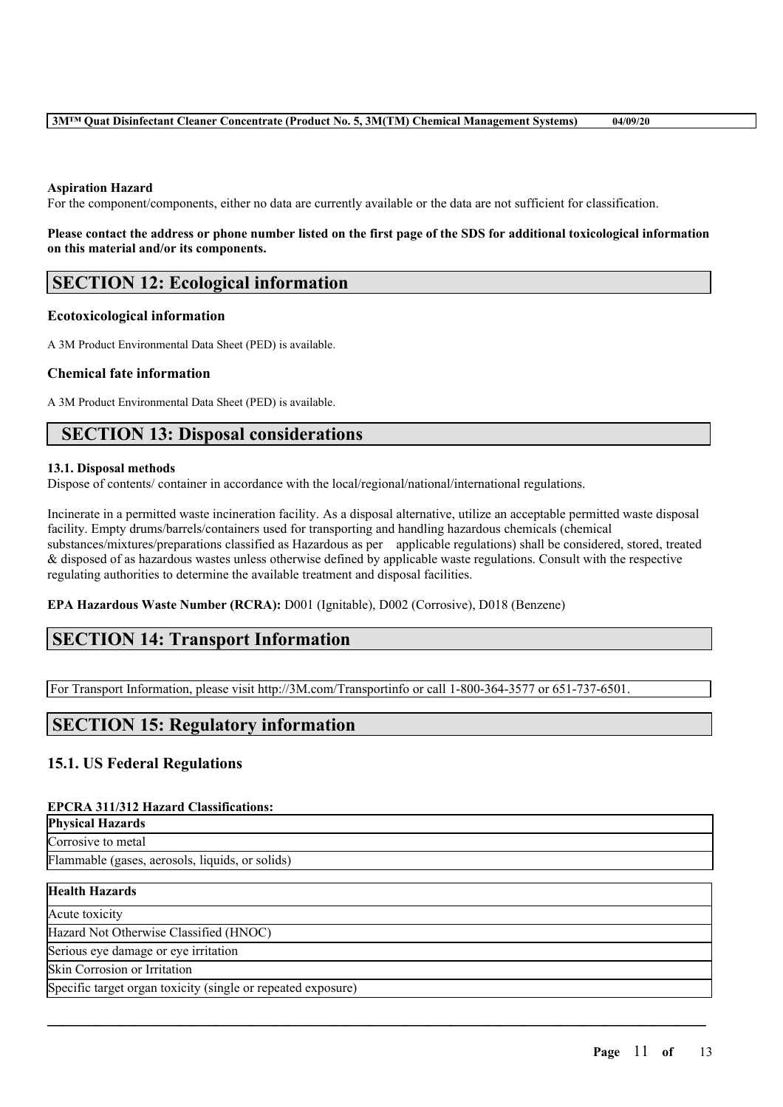#### **Aspiration Hazard**

For the component/components, either no data are currently available or the data are not sufficient for classification.

#### Please contact the address or phone number listed on the first page of the SDS for additional toxicological information **on this material and/or its components.**

## **SECTION 12: Ecological information**

#### **Ecotoxicological information**

A 3M Product Environmental Data Sheet (PED) is available.

#### **Chemical fate information**

A 3M Product Environmental Data Sheet (PED) is available.

## **SECTION 13: Disposal considerations**

#### **13.1. Disposal methods**

Dispose of contents/ container in accordance with the local/regional/national/international regulations.

Incinerate in a permitted waste incineration facility. As a disposal alternative, utilize an acceptable permitted waste disposal facility. Empty drums/barrels/containers used for transporting and handling hazardous chemicals (chemical substances/mixtures/preparations classified as Hazardous as per applicable regulations) shall be considered, stored, treated & disposed of as hazardous wastes unless otherwise defined by applicable waste regulations. Consult with the respective regulating authorities to determine the available treatment and disposal facilities.

**EPA Hazardous Waste Number (RCRA):** D001 (Ignitable), D002 (Corrosive), D018 (Benzene)

## **SECTION 14: Transport Information**

For Transport Information, please visit http://3M.com/Transportinfo or call 1-800-364-3577 or 651-737-6501.

## **SECTION 15: Regulatory information**

#### **15.1. US Federal Regulations**

#### **EPCRA 311/312 Hazard Classifications:**

| <b>Physical Hazards</b>                         |
|-------------------------------------------------|
| Corrosive to metal                              |
| Flammable (gases, aerosols, liquids, or solids) |
| 11 141. 11 1 .                                  |

 $\mathcal{L}_\mathcal{L} = \mathcal{L}_\mathcal{L} = \mathcal{L}_\mathcal{L} = \mathcal{L}_\mathcal{L} = \mathcal{L}_\mathcal{L} = \mathcal{L}_\mathcal{L} = \mathcal{L}_\mathcal{L} = \mathcal{L}_\mathcal{L} = \mathcal{L}_\mathcal{L} = \mathcal{L}_\mathcal{L} = \mathcal{L}_\mathcal{L} = \mathcal{L}_\mathcal{L} = \mathcal{L}_\mathcal{L} = \mathcal{L}_\mathcal{L} = \mathcal{L}_\mathcal{L} = \mathcal{L}_\mathcal{L} = \mathcal{L}_\mathcal{L}$ 

## **Health Hazards**

Acute toxicity Hazard Not Otherwise Classified (HNOC)

Serious eye damage or eye irritation

Skin Corrosion or Irritation

Specific target organ toxicity (single or repeated exposure)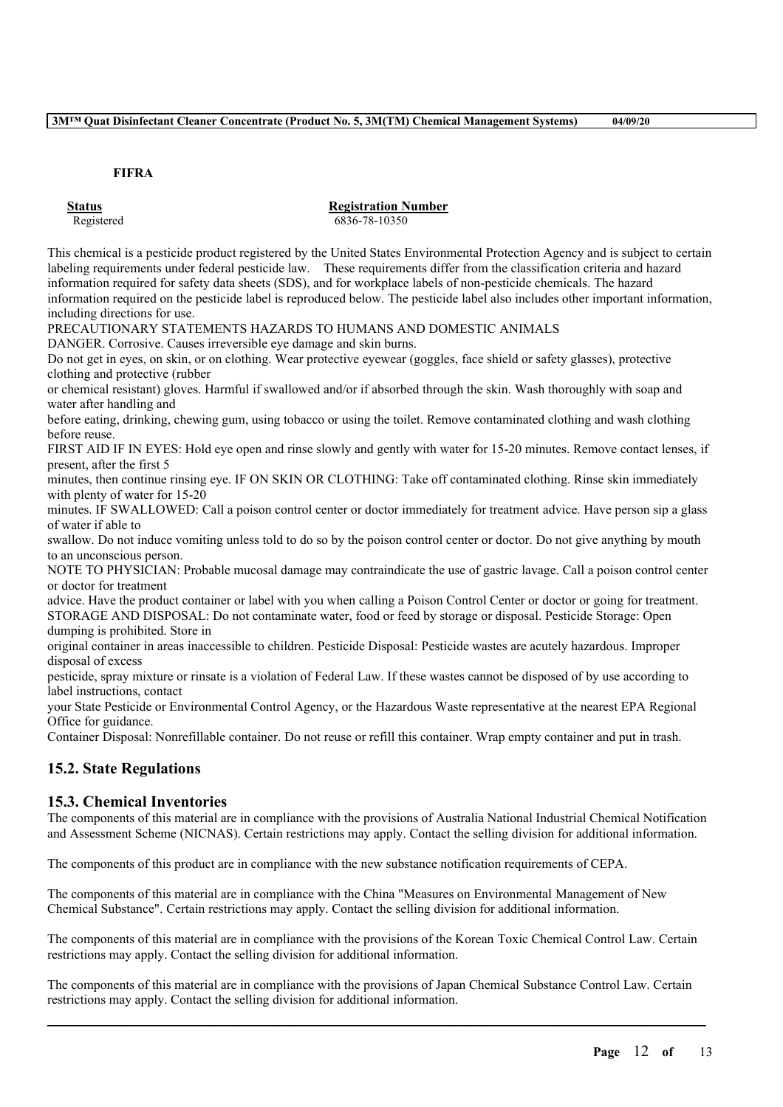#### **FIFRA**

#### **Status Registration Number** Registered 6836-78-10350

This chemical is a pesticide product registered by the United States Environmental Protection Agency and is subject to certain labeling requirements under federal pesticide law. These requirements differ from the classification criteria and hazard information required for safety data sheets (SDS), and for workplace labels of non-pesticide chemicals. The hazard information required on the pesticide label is reproduced below. The pesticide label also includes other important information, including directions for use.

PRECAUTIONARY STATEMENTS HAZARDS TO HUMANS AND DOMESTIC ANIMALS

DANGER. Corrosive. Causes irreversible eye damage and skin burns.

Do not get in eyes, on skin, or on clothing. Wear protective eyewear (goggles, face shield or safety glasses), protective clothing and protective (rubber

or chemical resistant) gloves. Harmful if swallowed and/or if absorbed through the skin. Wash thoroughly with soap and water after handling and

before eating, drinking, chewing gum, using tobacco or using the toilet. Remove contaminated clothing and wash clothing before reuse.

FIRST AID IF IN EYES: Hold eye open and rinse slowly and gently with water for 15-20 minutes. Remove contact lenses, if present, after the first 5

minutes, then continue rinsing eye. IF ON SKIN OR CLOTHING: Take off contaminated clothing. Rinse skin immediately with plenty of water for 15-20

minutes. IF SWALLOWED: Call a poison control center or doctor immediately for treatment advice. Have person sip a glass of water if able to

swallow. Do not induce vomiting unless told to do so by the poison control center or doctor. Do not give anything by mouth to an unconscious person.

NOTE TO PHYSICIAN: Probable mucosal damage may contraindicate the use of gastric lavage. Call a poison control center or doctor for treatment

advice. Have the product container or label with you when calling a Poison Control Center or doctor or going for treatment. STORAGE AND DISPOSAL: Do not contaminate water, food or feed by storage or disposal. Pesticide Storage: Open dumping is prohibited. Store in

original container in areas inaccessible to children. Pesticide Disposal: Pesticide wastes are acutely hazardous. Improper disposal of excess

pesticide, spray mixture or rinsate is a violation of Federal Law. If these wastes cannot be disposed of by use according to label instructions, contact

your State Pesticide or Environmental Control Agency, or the Hazardous Waste representative at the nearest EPA Regional Office for guidance.

Container Disposal: Nonrefillable container. Do not reuse or refill this container. Wrap empty container and put in trash.

## **15.2. State Regulations**

#### **15.3. Chemical Inventories**

The components of this material are in compliance with the provisions of Australia National Industrial Chemical Notification and Assessment Scheme (NICNAS). Certain restrictions may apply. Contact the selling division for additional information.

The components of this product are in compliance with the new substance notification requirements of CEPA.

The components of this material are in compliance with the China "Measures on Environmental Management of New Chemical Substance". Certain restrictions may apply. Contact the selling division for additional information.

The components of this material are in compliance with the provisions of the Korean Toxic Chemical Control Law. Certain restrictions may apply. Contact the selling division for additional information.

The components of this material are in compliance with the provisions of Japan Chemical Substance Control Law. Certain restrictions may apply. Contact the selling division for additional information.